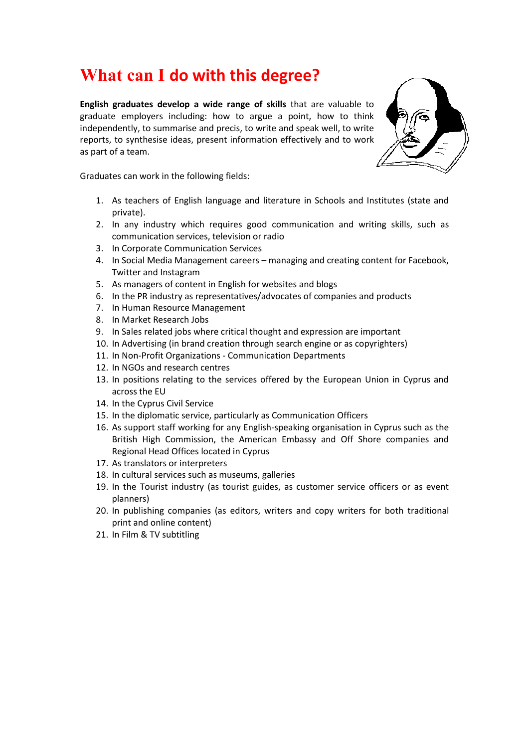#### **What can I do with this degree?**

**English graduates develop a wide range of skills** that are valuable to graduate employers including: how to argue a point, how to think independently, to summarise and precis, to write and speak well, to write reports, to synthesise ideas, present information effectively and to work as part of a team.



Graduates can work in the following fields:

- 1. As teachers of English language and literature in Schools and Institutes (state and private).
- 2. In any industry which requires good communication and writing skills, such as communication services, television or radio
- 3. In Corporate Communication Services
- 4. In Social Media Management careers managing and creating content for Facebook, Twitter and Instagram
- 5. As managers of content in English for websites and blogs
- 6. In the PR industry as representatives/advocates of companies and products
- 7. In Human Resource Management
- 8. In Market Research Jobs
- 9. In Sales related jobs where critical thought and expression are important
- 10. In Advertising (in brand creation through search engine or as copyrighters)
- 11. In Non-Profit Organizations Communication Departments
- 12. In NGOs and research centres
- 13. In positions relating to the services offered by the European Union in Cyprus and across the EU
- 14. In the Cyprus Civil Service
- 15. In the diplomatic service, particularly as Communication Officers
- 16. As support staff working for any English-speaking organisation in Cyprus such as the British High Commission, the American Embassy and Off Shore companies and Regional Head Offices located in Cyprus
- 17. As translators or interpreters
- 18. In cultural services such as museums, galleries
- 19. In the Tourist industry (as tourist guides, as customer service officers or as event planners)
- 20. In publishing companies (as editors, writers and copy writers for both traditional print and online content)
- 21. In Film & TV subtitling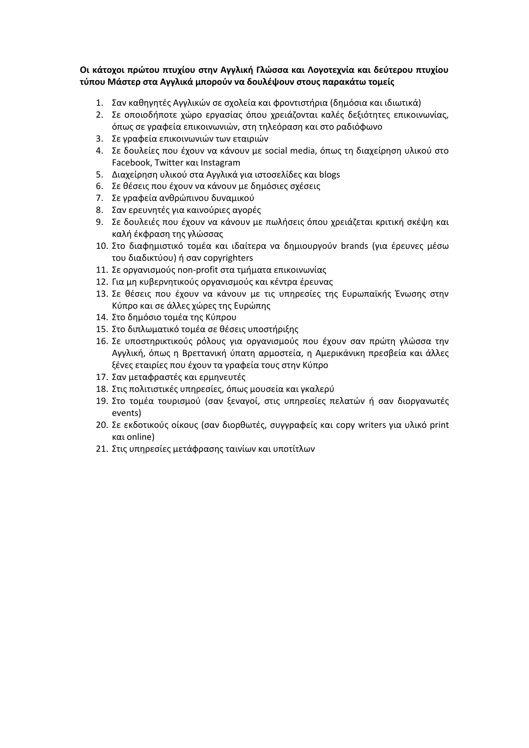**Οι κάτοχοι πρώτου πτυχίου στην Αγγλική Γλώσσα και Λογοτεχνία και δεύτερου πτυχίου τύπου Μάστερ στα Αγγλικά μπορούν να δουλέψουν στους παρακάτω τομείς**

- 1. Σαν καθηγητές Αγγλικών σε σχολεία και φροντιστήρια (δημόσια και ιδιωτικά)
- 2. Σε οποιοδήποτε χώρο εργασίας όπου χρειάζονται καλές δεξιότητες επικοινωνίας, όπως σε γραφεία επικοινωνιών, στη τηλεόραση και στο ραδιόφωνο
- 3. Σε γραφεία επικοινωνιών των εταιριών
- 4. Σε δουλείες που έχουν να κάνουν με social media, όπως τη διαχείρηση υλικού στο Facebook, Twitter και Instagram
- 5. Διαχείρηση υλικού στα Αγγλικά για ιστοσελίδες και blogs
- 6. Σε θέσεις που έχουν να κάνουν με δημόσιες σχέσεις
- 7. Σε γραφεία ανθρώπινου δυναμικού
- 8. Σαν ερευνητές για καινούριες αγορές
- 9. Σε δουλειές που έχουν να κάνουν με πωλήσεις όπου χρειάζεται κριτική σκέψη και καλή έκφραση της γλώσσας
- 10. Στο διαφημιστικό τομέα και ιδαίτερα να δημιουργούν brands (για έρευνες μέσω του διαδικτύου) ή σαν copyrighters
- 11. Σε οργανισμούς non-profit στα τμήματα επικοινωνίας
- 12. Για μη κυβερνητικούς οργανισμούς και κέντρα έρευνας
- 13. Σε θέσεις που έχουν να κάνουν με τις υπηρεσίες της Ευρωπαϊκής Ένωσης στην Κύπρο και σε άλλες χώρες της Ευρώπης
- 14. Στο δημόσιο τομέα της Κύπρου
- 15. Στο διπλωματικό τομέα σε θέσεις υποστήριξης
- 16. Σε υποστηρικτικούς ρόλους για οργανισμούς που έχουν σαν πρώτη γλώσσα την Αγγλική, όπως η Βρεττανική ύπατη αρμοστεία, η Αμερικάνικη πρεσβεία και άλλες ξένες εταιρίες που έχουν τα γραφεία τους στην Κύπρο
- 17. Σαν μεταφραστές και ερμηνευτές
- 18. Στις πολιτιστικές υπηρεσίες, όπως μουσεία και γκαλερύ
- 19. Στο τομέα τουρισμού (σαν ξεναγοί, στις υπηρεσίες πελατών ή σαν διοργανωτές events)
- 20. Σε εκδοτικούς οίκους (σαν διορθωτές, συγγραφείς και copy writers για υλικό print και online)
- 21. Στις υπηρεσίες μετάφρασης ταινίων και υποτίτλων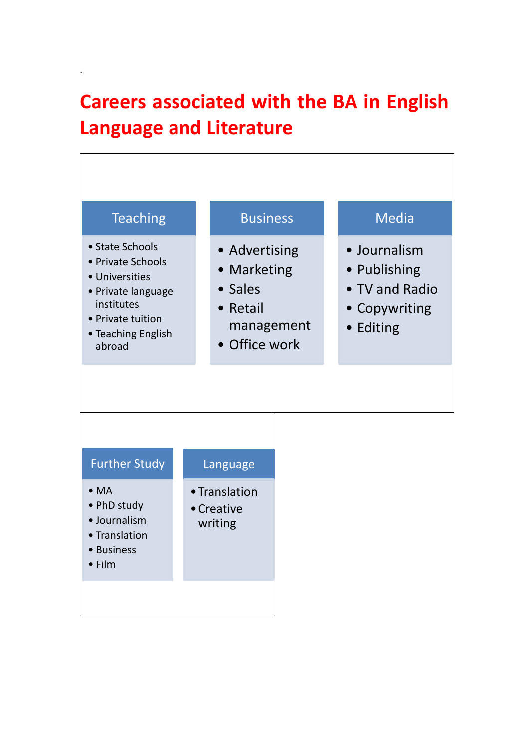## **Careers associated with the BA in English Language and Literature**

.

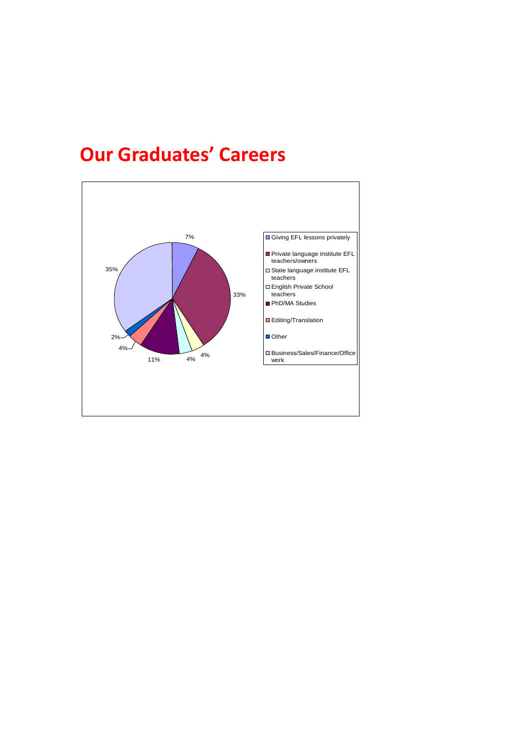### **Our Graduates' Careers**

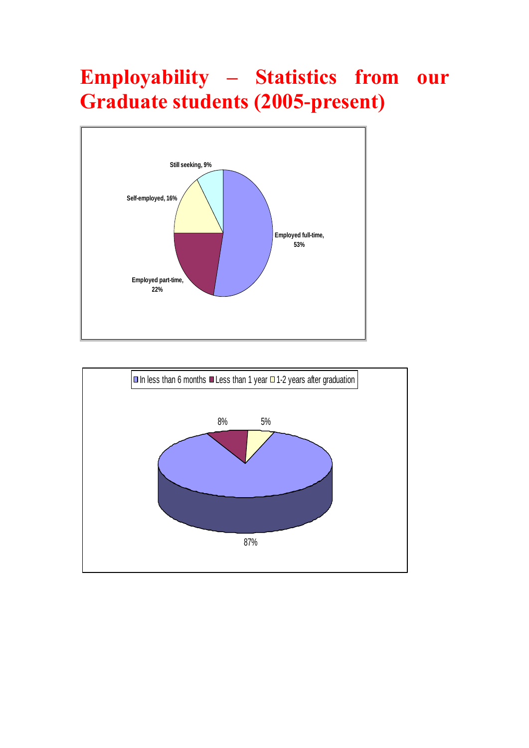# **Employability – Statistics from our Graduate students (2005-present)**